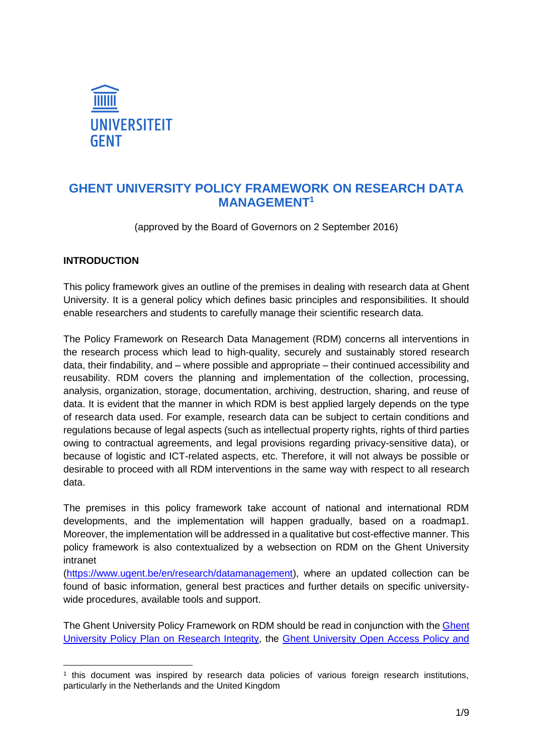

# **GHENT UNIVERSITY POLICY FRAMEWORK ON RESEARCH DATA MANAGEMENT<sup>1</sup>**

(approved by the Board of Governors on 2 September 2016)

#### **INTRODUCTION**

This policy framework gives an outline of the premises in dealing with research data at Ghent University. It is a general policy which defines basic principles and responsibilities. It should enable researchers and students to carefully manage their scientific research data.

The Policy Framework on Research Data Management (RDM) concerns all interventions in the research process which lead to high-quality, securely and sustainably stored research data, their findability, and – where possible and appropriate – their continued accessibility and reusability. RDM covers the planning and implementation of the collection, processing, analysis, organization, storage, documentation, archiving, destruction, sharing, and reuse of data. It is evident that the manner in which RDM is best applied largely depends on the type of research data used. For example, research data can be subject to certain conditions and regulations because of legal aspects (such as intellectual property rights, rights of third parties owing to contractual agreements, and legal provisions regarding privacy-sensitive data), or because of logistic and ICT-related aspects, etc. Therefore, it will not always be possible or desirable to proceed with all RDM interventions in the same way with respect to all research data.

The premises in this policy framework take account of national and international RDM developments, and the implementation will happen gradually, based on a roadmap1. Moreover, the implementation will be addressed in a qualitative but cost-effective manner. This policy framework is also contextualized by a websection on RDM on the Ghent University intranet

[\(https://www.ugent.be/en/research/datamanagement\)](https://www.ugent.be/en/research/datamanagement), where an updated collection can be found of basic information, general best practices and further details on specific universitywide procedures, available tools and support.

The Ghent University Policy Framework on RDM should be read in conjunction with the [Ghent](https://www.ugent.be/intranet/en/research/research-integrity/ri-en-fulltext.pdf)  [University Policy Plan on Research Integrity,](https://www.ugent.be/intranet/en/research/research-integrity/ri-en-fulltext.pdf) the [Ghent University Open Access Policy and](https://www.ugent.be/intranet/nl/op-het-werk/bibliotheek/biblio/id-oa-mandate.htm) 

 $\overline{a}$ 1 this document was inspired by research data policies of various foreign research institutions, particularly in the Netherlands and the United Kingdom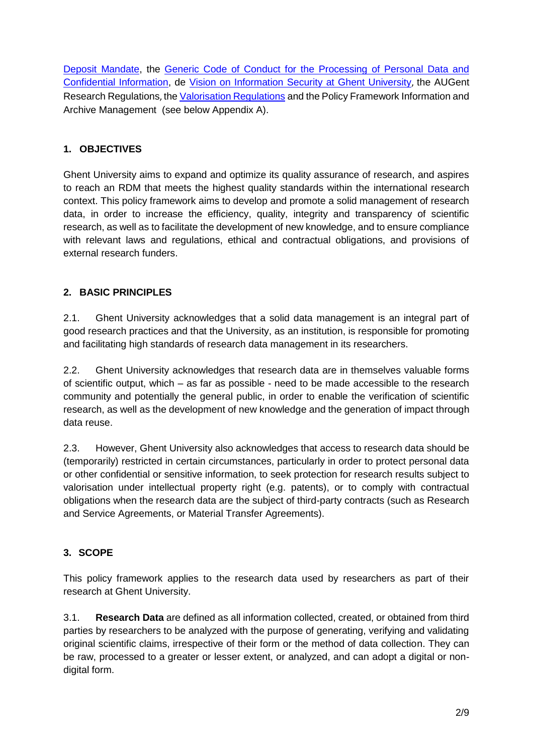[Deposit Mandate,](https://www.ugent.be/intranet/nl/op-het-werk/bibliotheek/biblio/id-oa-mandate.htm) the [Generic Code of Conduct for the Processing of Personal Data and](https://codex.ugent.be/?regid=REG000155&lang=en)  [Confidential Information,](https://codex.ugent.be/?regid=REG000155&lang=en) de [Vision on Information Security at Ghent University](https://codex.ugent.be/?regid=REG000154&lang=en), the AUGent Research Regulations, th[e Valorisation Regulations](https://codex.ugent.be/?regid=REG000101&lang=en) and the Policy Framework Information and Archive Management (see below Appendix A).

# **1. OBJECTIVES**

Ghent University aims to expand and optimize its quality assurance of research, and aspires to reach an RDM that meets the highest quality standards within the international research context. This policy framework aims to develop and promote a solid management of research data, in order to increase the efficiency, quality, integrity and transparency of scientific research, as well as to facilitate the development of new knowledge, and to ensure compliance with relevant laws and regulations, ethical and contractual obligations, and provisions of external research funders.

### **2. BASIC PRINCIPLES**

2.1. Ghent University acknowledges that a solid data management is an integral part of good research practices and that the University, as an institution, is responsible for promoting and facilitating high standards of research data management in its researchers.

2.2. Ghent University acknowledges that research data are in themselves valuable forms of scientific output, which – as far as possible - need to be made accessible to the research community and potentially the general public, in order to enable the verification of scientific research, as well as the development of new knowledge and the generation of impact through data reuse.

2.3. However, Ghent University also acknowledges that access to research data should be (temporarily) restricted in certain circumstances, particularly in order to protect personal data or other confidential or sensitive information, to seek protection for research results subject to valorisation under intellectual property right (e.g. patents), or to comply with contractual obligations when the research data are the subject of third-party contracts (such as Research and Service Agreements, or Material Transfer Agreements).

# **3. SCOPE**

This policy framework applies to the research data used by researchers as part of their research at Ghent University.

3.1. **Research Data** are defined as all information collected, created, or obtained from third parties by researchers to be analyzed with the purpose of generating, verifying and validating original scientific claims, irrespective of their form or the method of data collection. They can be raw, processed to a greater or lesser extent, or analyzed, and can adopt a digital or nondigital form.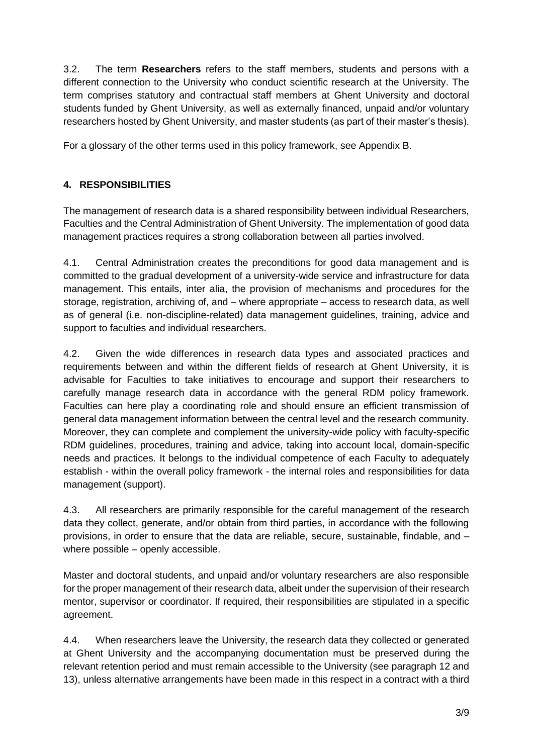3.2. The term **Researchers** refers to the staff members, students and persons with a different connection to the University who conduct scientific research at the University. The term comprises statutory and contractual staff members at Ghent University and doctoral students funded by Ghent University, as well as externally financed, unpaid and/or voluntary researchers hosted by Ghent University, and master students (as part of their master's thesis).

For a glossary of the other terms used in this policy framework, see Appendix B.

# **4. RESPONSIBILITIES**

The management of research data is a shared responsibility between individual Researchers, Faculties and the Central Administration of Ghent University. The implementation of good data management practices requires a strong collaboration between all parties involved.

4.1. Central Administration creates the preconditions for good data management and is committed to the gradual development of a university-wide service and infrastructure for data management. This entails, inter alia, the provision of mechanisms and procedures for the storage, registration, archiving of, and – where appropriate – access to research data, as well as of general (i.e. non-discipline-related) data management guidelines, training, advice and support to faculties and individual researchers.

4.2. Given the wide differences in research data types and associated practices and requirements between and within the different fields of research at Ghent University, it is advisable for Faculties to take initiatives to encourage and support their researchers to carefully manage research data in accordance with the general RDM policy framework. Faculties can here play a coordinating role and should ensure an efficient transmission of general data management information between the central level and the research community. Moreover, they can complete and complement the university-wide policy with faculty-specific RDM guidelines, procedures, training and advice, taking into account local, domain-specific needs and practices. It belongs to the individual competence of each Faculty to adequately establish - within the overall policy framework - the internal roles and responsibilities for data management (support).

4.3. All researchers are primarily responsible for the careful management of the research data they collect, generate, and/or obtain from third parties, in accordance with the following provisions, in order to ensure that the data are reliable, secure, sustainable, findable, and – where possible – openly accessible.

Master and doctoral students, and unpaid and/or voluntary researchers are also responsible for the proper management of their research data, albeit under the supervision of their research mentor, supervisor or coordinator. If required, their responsibilities are stipulated in a specific agreement.

4.4. When researchers leave the University, the research data they collected or generated at Ghent University and the accompanying documentation must be preserved during the relevant retention period and must remain accessible to the University (see paragraph 12 and 13), unless alternative arrangements have been made in this respect in a contract with a third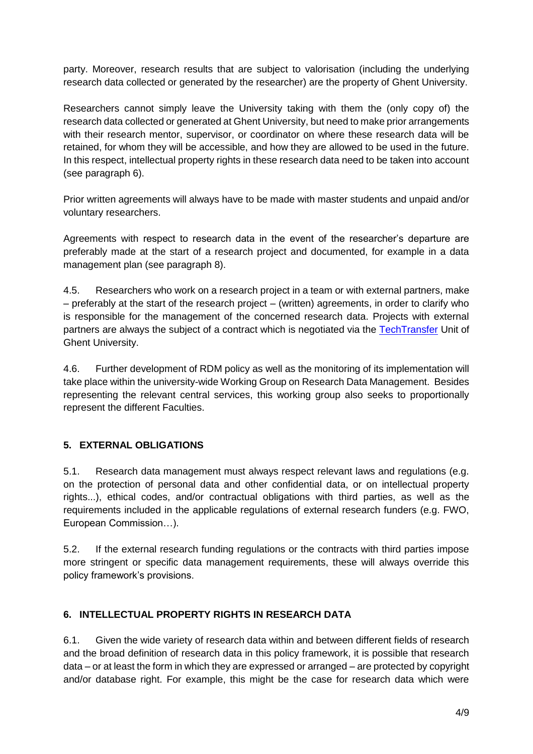party. Moreover, research results that are subject to valorisation (including the underlying research data collected or generated by the researcher) are the property of Ghent University.

Researchers cannot simply leave the University taking with them the (only copy of) the research data collected or generated at Ghent University, but need to make prior arrangements with their research mentor, supervisor, or coordinator on where these research data will be retained, for whom they will be accessible, and how they are allowed to be used in the future. In this respect, intellectual property rights in these research data need to be taken into account (see paragraph 6).

Prior written agreements will always have to be made with master students and unpaid and/or voluntary researchers.

Agreements with respect to research data in the event of the researcher's departure are preferably made at the start of a research project and documented, for example in a data management plan (see paragraph 8).

4.5. Researchers who work on a research project in a team or with external partners, make – preferably at the start of the research project – (written) agreements, in order to clarify who is responsible for the management of the concerned research data. Projects with external partners are always the subject of a contract which is negotiated via the [TechTransfer](https://www.ugent.be/techtransfer/) Unit of Ghent University.

4.6. Further development of RDM policy as well as the monitoring of its implementation will take place within the university-wide Working Group on Research Data Management. Besides representing the relevant central services, this working group also seeks to proportionally represent the different Faculties.

# **5. EXTERNAL OBLIGATIONS**

5.1. Research data management must always respect relevant laws and regulations (e.g. on the protection of personal data and other confidential data, or on intellectual property rights...), ethical codes, and/or contractual obligations with third parties, as well as the requirements included in the applicable regulations of external research funders (e.g. FWO, European Commission…).

5.2. If the external research funding regulations or the contracts with third parties impose more stringent or specific data management requirements, these will always override this policy framework's provisions.

### **6. INTELLECTUAL PROPERTY RIGHTS IN RESEARCH DATA**

6.1. Given the wide variety of research data within and between different fields of research and the broad definition of research data in this policy framework, it is possible that research data – or at least the form in which they are expressed or arranged – are protected by copyright and/or database right. For example, this might be the case for research data which were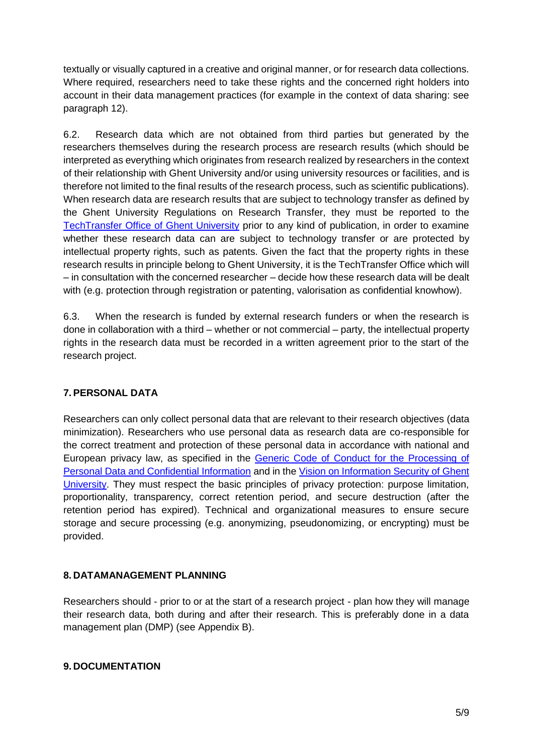textually or visually captured in a creative and original manner, or for research data collections. Where required, researchers need to take these rights and the concerned right holders into account in their data management practices (for example in the context of data sharing: see paragraph 12).

6.2. Research data which are not obtained from third parties but generated by the researchers themselves during the research process are research results (which should be interpreted as everything which originates from research realized by researchers in the context of their relationship with Ghent University and/or using university resources or facilities, and is therefore not limited to the final results of the research process, such as scientific publications). When research data are research results that are subject to technology transfer as defined by the Ghent University Regulations on Research Transfer, they must be reported to the [TechTransfer Office of Ghent University](https://www.ugent.be/techtransfer/en) prior to any kind of publication, in order to examine whether these research data can are subject to technology transfer or are protected by intellectual property rights, such as patents. Given the fact that the property rights in these research results in principle belong to Ghent University, it is the TechTransfer Office which will – in consultation with the concerned researcher – decide how these research data will be dealt with (e.g. protection through registration or patenting, valorisation as confidential knowhow).

6.3. When the research is funded by external research funders or when the research is done in collaboration with a third – whether or not commercial – party, the intellectual property rights in the research data must be recorded in a written agreement prior to the start of the research project.

# **7. PERSONAL DATA**

Researchers can only collect personal data that are relevant to their research objectives (data minimization). Researchers who use personal data as research data are co-responsible for the correct treatment and protection of these personal data in accordance with national and European privacy law, as specified in the [Generic Code of Conduct for the Processing of](https://codex.ugent.be/?regid=REG000155&lang=en)  [Personal Data and Confidential Information](https://codex.ugent.be/?regid=REG000155&lang=en) and in the [Vision on Information Security of Ghent](https://www.ugent.be/en/facilities/ict/information-security)  [University.](https://www.ugent.be/en/facilities/ict/information-security) They must respect the basic principles of privacy protection: purpose limitation, proportionality, transparency, correct retention period, and secure destruction (after the retention period has expired). Technical and organizational measures to ensure secure storage and secure processing (e.g. anonymizing, pseudonomizing, or encrypting) must be provided.

### **8. DATAMANAGEMENT PLANNING**

Researchers should - prior to or at the start of a research project - plan how they will manage their research data, both during and after their research. This is preferably done in a data management plan (DMP) (see Appendix B).

### **9. DOCUMENTATION**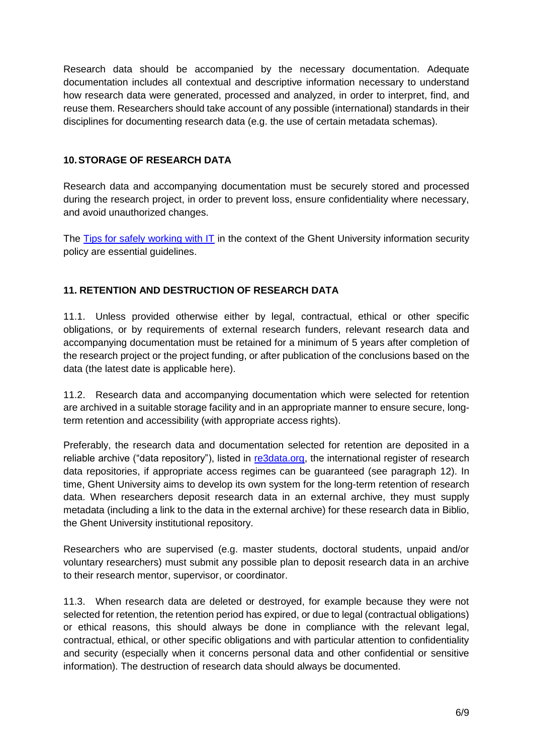Research data should be accompanied by the necessary documentation. Adequate documentation includes all contextual and descriptive information necessary to understand how research data were generated, processed and analyzed, in order to interpret, find, and reuse them. Researchers should take account of any possible (international) standards in their disciplines for documenting research data (e.g. the use of certain metadata schemas).

### **10.STORAGE OF RESEARCH DATA**

Research data and accompanying documentation must be securely stored and processed during the research project, in order to prevent loss, ensure confidentiality where necessary, and avoid unauthorized changes.

The [Tips for safely working with IT](https://www.ugent.be/en/facilities/ict/information-security) in the context of the Ghent University information security policy are essential guidelines.

### **11. RETENTION AND DESTRUCTION OF RESEARCH DATA**

11.1. Unless provided otherwise either by legal, contractual, ethical or other specific obligations, or by requirements of external research funders, relevant research data and accompanying documentation must be retained for a minimum of 5 years after completion of the research project or the project funding, or after publication of the conclusions based on the data (the latest date is applicable here).

11.2. Research data and accompanying documentation which were selected for retention are archived in a suitable storage facility and in an appropriate manner to ensure secure, longterm retention and accessibility (with appropriate access rights).

Preferably, the research data and documentation selected for retention are deposited in a reliable archive ("data repository"), listed in [re3data.org,](https://www.re3data.org/) the international register of research data repositories, if appropriate access regimes can be guaranteed (see paragraph 12). In time, Ghent University aims to develop its own system for the long-term retention of research data. When researchers deposit research data in an external archive, they must supply metadata (including a link to the data in the external archive) for these research data in Biblio, the Ghent University institutional repository.

Researchers who are supervised (e.g. master students, doctoral students, unpaid and/or voluntary researchers) must submit any possible plan to deposit research data in an archive to their research mentor, supervisor, or coordinator.

11.3. When research data are deleted or destroyed, for example because they were not selected for retention, the retention period has expired, or due to legal (contractual obligations) or ethical reasons, this should always be done in compliance with the relevant legal, contractual, ethical, or other specific obligations and with particular attention to confidentiality and security (especially when it concerns personal data and other confidential or sensitive information). The destruction of research data should always be documented.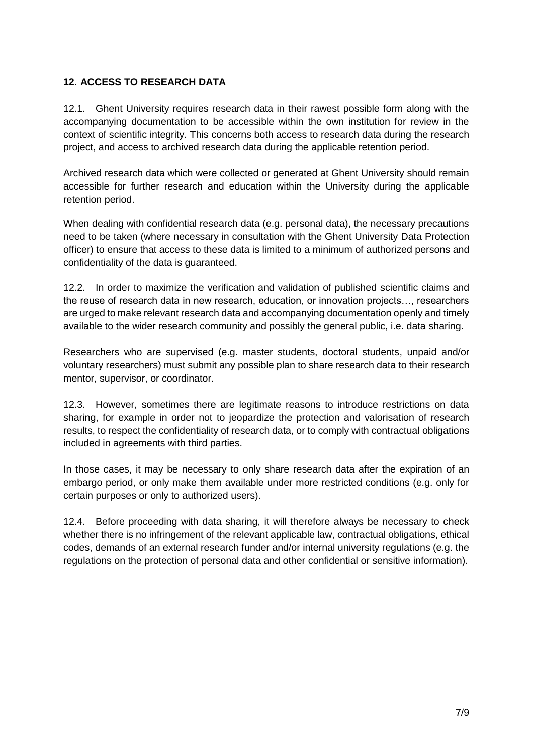### **12. ACCESS TO RESEARCH DATA**

12.1. Ghent University requires research data in their rawest possible form along with the accompanying documentation to be accessible within the own institution for review in the context of scientific integrity. This concerns both access to research data during the research project, and access to archived research data during the applicable retention period.

Archived research data which were collected or generated at Ghent University should remain accessible for further research and education within the University during the applicable retention period.

When dealing with confidential research data (e.g. personal data), the necessary precautions need to be taken (where necessary in consultation with the Ghent University Data Protection officer) to ensure that access to these data is limited to a minimum of authorized persons and confidentiality of the data is guaranteed.

12.2. In order to maximize the verification and validation of published scientific claims and the reuse of research data in new research, education, or innovation projects…, researchers are urged to make relevant research data and accompanying documentation openly and timely available to the wider research community and possibly the general public, i.e. data sharing.

Researchers who are supervised (e.g. master students, doctoral students, unpaid and/or voluntary researchers) must submit any possible plan to share research data to their research mentor, supervisor, or coordinator.

12.3. However, sometimes there are legitimate reasons to introduce restrictions on data sharing, for example in order not to jeopardize the protection and valorisation of research results, to respect the confidentiality of research data, or to comply with contractual obligations included in agreements with third parties.

In those cases, it may be necessary to only share research data after the expiration of an embargo period, or only make them available under more restricted conditions (e.g. only for certain purposes or only to authorized users).

12.4. Before proceeding with data sharing, it will therefore always be necessary to check whether there is no infringement of the relevant applicable law, contractual obligations, ethical codes, demands of an external research funder and/or internal university regulations (e.g. the regulations on the protection of personal data and other confidential or sensitive information).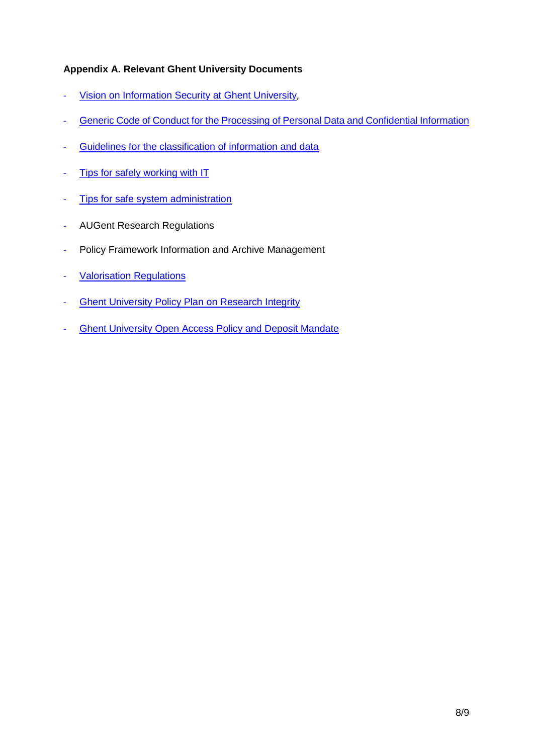### **Appendix A. Relevant Ghent University Documents**

- [Vision on Information Security at Ghent University](file:///C:/Users/aleyman/AppData/Local/Temp/A%20vision%20on%20information%20security%20at%20Ghent%20University%20-UGent-1.pdf),
- Generic [Code of Conduct for the Processing of Personal Data and Confidential Information](https://codex.ugent.be/?regid=REG000155&lang=en)
- [Guidelines for the classification of information and data](https://www.ugent.be/en/facilities/ict/information-security)
- [Tips for safely working with IT](https://www.ugent.be/en/facilities/ict/information-security)
- [Tips for safe system administration](https://www.ugent.be/en/facilities/ict/information-security)
- AUGent Research Regulations
- Policy Framework Information and Archive Management
- [Valorisation Regulations](https://codex.ugent.be/?regid=REG000101&lang=en)
- [Ghent University Policy Plan on Research Integrity](https://www.ugent.be/intranet/en/research/research-integrity/ri-en-fulltext.pdf)
- **[Ghent University Open Access Policy and Deposit Mandate](https://www.ugent.be/intranet/nl/op-het-werk/bibliotheek/biblio/id-oa-mandate.htm)**